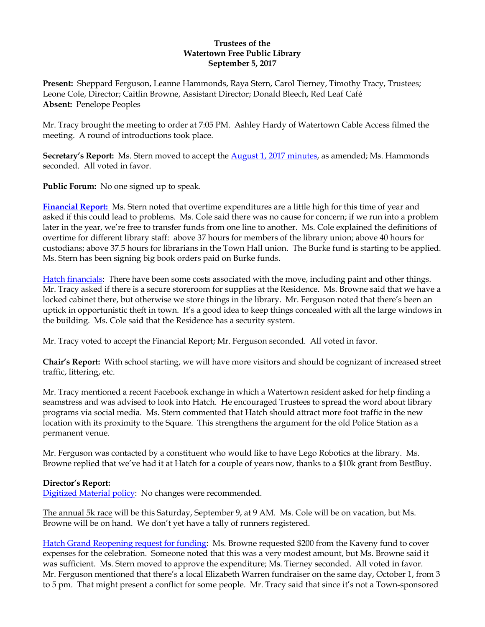### **Trustees of the Watertown Free Public Library September 5, 2017**

**Present:** Sheppard Ferguson, Leanne Hammonds, Raya Stern, Carol Tierney, Timothy Tracy, Trustees; Leone Cole, Director; Caitlin Browne, Assistant Director; Donald Bleech, Red Leaf Café **Absent:** Penelope Peoples

Mr. Tracy brought the meeting to order at 7:05 PM. Ashley Hardy of Watertown Cable Access filmed the meeting. A round of introductions took place.

Secretary's Report: Ms. Stern moved to accept the **August 1, 2017 minutes**, as amended; Ms. Hammonds seconded. All voted in favor.

**Public Forum:** No one signed up to speak.

**[Financial Report:](http://ci.watertown.ma.us/DocumentCenter/View/23668)** Ms. Stern noted that overtime expenditures are a little high for this time of year and asked if this could lead to problems. Ms. Cole said there was no cause for concern; if we run into a problem later in the year, we're free to transfer funds from one line to another. Ms. Cole explained the definitions of overtime for different library staff: above 37 hours for members of the library union; above 40 hours for custodians; above 37.5 hours for librarians in the Town Hall union. The Burke fund is starting to be applied. Ms. Stern has been signing big book orders paid on Burke funds.

Hatch [financials:](http://ci.watertown.ma.us/DocumentCenter/View/23669) There have been some costs associated with the move, including paint and other things. Mr. Tracy asked if there is a secure storeroom for supplies at the Residence. Ms. Browne said that we have a locked cabinet there, but otherwise we store things in the library. Mr. Ferguson noted that there's been an uptick in opportunistic theft in town. It's a good idea to keep things concealed with all the large windows in the building. Ms. Cole said that the Residence has a security system.

Mr. Tracy voted to accept the Financial Report; Mr. Ferguson seconded. All voted in favor.

**Chair's Report:** With school starting, we will have more visitors and should be cognizant of increased street traffic, littering, etc.

Mr. Tracy mentioned a recent Facebook exchange in which a Watertown resident asked for help finding a seamstress and was advised to look into Hatch. He encouraged Trustees to spread the word about library programs via social media. Ms. Stern commented that Hatch should attract more foot traffic in the new location with its proximity to the Square. This strengthens the argument for the old Police Station as a permanent venue.

Mr. Ferguson was contacted by a constituent who would like to have Lego Robotics at the library. Ms. Browne replied that we've had it at Hatch for a couple of years now, thanks to a \$10k grant from BestBuy.

#### **Director's Report:**

[Digitized Material policy:](http://ci.watertown.ma.us/DocumentCenter/View/23672) No changes were recommended.

The annual 5k race will be this Saturday, September 9, at 9 AM. Ms. Cole will be on vacation, but Ms. Browne will be on hand. We don't yet have a tally of runners registered.

Hatch [Grand Reopening request for funding:](http://ci.watertown.ma.us/DocumentCenter/View/23671) Ms. Browne requested \$200 from the Kaveny fund to cover expenses for the celebration. Someone noted that this was a very modest amount, but Ms. Browne said it was sufficient. Ms. Stern moved to approve the expenditure; Ms. Tierney seconded. All voted in favor. Mr. Ferguson mentioned that there's a local Elizabeth Warren fundraiser on the same day, October 1, from 3 to 5 pm. That might present a conflict for some people. Mr. Tracy said that since it's not a Town-sponsored